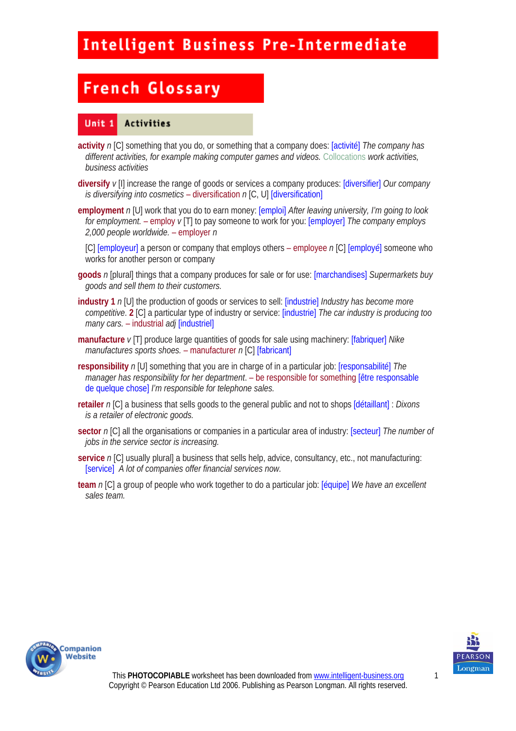# **French Glossary**

#### Unit 1 Activities

- **activity** *n* [C] something that you do, or something that a company does: [activité] *The company has different activities, for example making computer games and videos.* Collocations *work activities, business activities*
- **diversify** *v* [I] increase the range of goods or services a company produces: [diversifier] *Our company is diversifying into cosmetics* – diversification *n* [C, U] [diversification]
- **employment** *n* [U] work that you do to earn money: [emploi] *After leaving university, I'm going to look for employment.* – employ *v* [T] to pay someone to work for you: [employer] *The company employs 2,000 people worldwide.* – employer *n*

[C] [employeur] a person or company that employs others – employee *n* [C] [employé] someone who works for another person or company

- **goods** *n* [plural] things that a company produces for sale or for use: [marchandises] *Supermarkets buy goods and sell them to their customers.*
- **industry 1** *n* [U] the production of goods or services to sell: [industrie] *Industry has become more competitive*. **2** [C] a particular type of industry or service: [industrie] *The car industry is producing too many cars.* – industrial *adj* [industriel]
- **manufacture** *v* [T] produce large quantities of goods for sale using machinery: [fabriquer] *Nike manufactures sports shoes.* – manufacturer *n* [C] [fabricant]
- **responsibility** *n* [U] something that you are in charge of in a particular job: [responsabilité] *The manager has responsibility for her department*. – be responsible for something [être responsable de quelque chose] *I'm responsible for telephone sales.*
- **retailer** *n* [C] a business that sells goods to the general public and not to shops [détaillant] : *Dixons is a retailer of electronic goods.*
- **sector** *n* [C] all the organisations or companies in a particular area of industry: [secteur] *The number of jobs in the service sector is increasing.*
- **service** *n* [C] usually plural] a business that sells help, advice, consultancy, etc., not manufacturing: [service] *A lot of companies offer financial services now.*
- **team** *n* [C] a group of people who work together to do a particular job: [équipe] *We have an excellent sales team.*



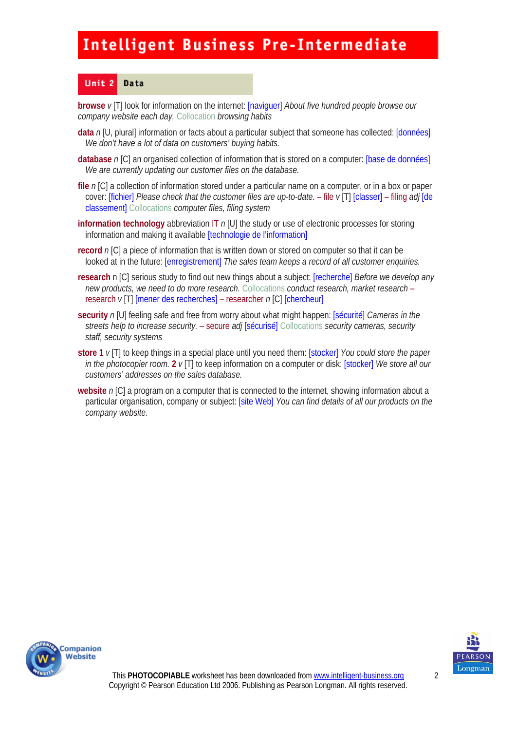#### Unit<sub>2</sub> Data

**browse** *v* [T] look for information on the internet: [naviguer] *About five hundred people browse our company website each day.* Collocation *browsing habits* 

- **data** *n* [U, plural] information or facts about a particular subject that someone has collected: [données] *We don't have a lot of data on customers' buying habits.*
- **database** *n* [C] an organised collection of information that is stored on a computer: [base de données] *We are currently updating our customer files on the database.*
- **file** *n* [C] a collection of information stored under a particular name on a computer, or in a box or paper cover: [fichier] *Please check that the customer files are up-to-date.* – file *v* [T] [classer] – filing *adj* [de classement] Collocations *computer files, filing system*
- **information technology** abbreviation IT *n* [U] the study or use of electronic processes for storing information and making it available [technologie de l'information]
- **record** *n* [C] a piece of information that is written down or stored on computer so that it can be looked at in the future: [enregistrement] *The sales team keeps a record of all customer enquiries.*
- **research** n [C] serious study to find out new things about a subject: [recherche] *Before we develop any new products, we need to do more research.* Collocations *conduct research, market research* – research *v* [T] [mener des recherches] – researcher *n* [C] [chercheur]
- **security** *n* [U] feeling safe and free from worry about what might happen: [sécurité] *Cameras in the streets help to increase security.* – secure *adj* [sécurisé] Collocations *security cameras, security staff, security systems*
- **store 1** *v* [T] to keep things in a special place until you need them: [stocker] *You could store the paper in the photocopier room.* **2** *v* [T] to keep information on a computer or disk: [stocker] *We store all our customers' addresses on the sales database.*
- **website** *n* [C] a program on a computer that is connected to the internet, showing information about a particular organisation, company or subject: [site Web] *You can find details of all our products on the company website.*



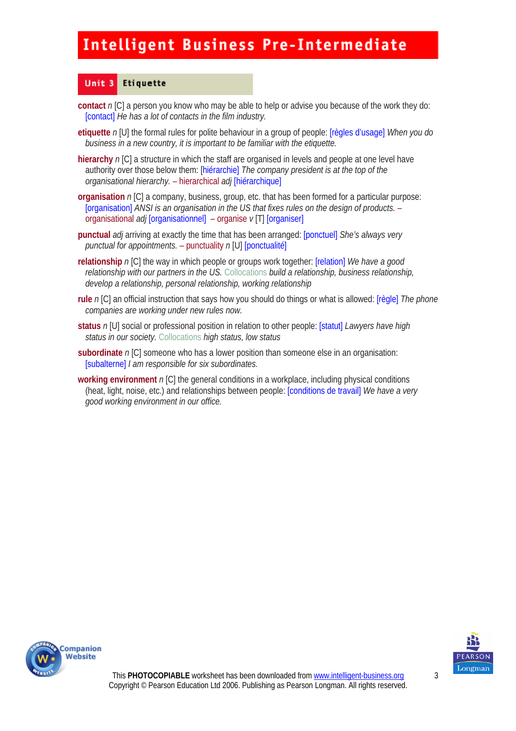#### Unit 3 Etiquette

- **contact** *n* [C] a person you know who may be able to help or advise you because of the work they do: [contact] *He has a lot of contacts in the film industry.*
- **etiquette** *n* [U] the formal rules for polite behaviour in a group of people: [règles d'usage] *When you do business in a new country, it is important to be familiar with the etiquette.*
- **hierarchy** *n* [C] a structure in which the staff are organised in levels and people at one level have authority over those below them: [hiérarchie] *The company president is at the top of the organisational hierarchy.* – hierarchical *adj* [hiérarchique]
- **organisation** *n* [C] a company, business, group, etc. that has been formed for a particular purpose: [organisation] *ANSI is an organisation in the US that fixes rules on the design of products.* – organisational *adj* [organisationnel]– organise *v* [T] [organiser]
- **punctual** *adj* arriving at exactly the time that has been arranged: [ponctuel] *She's always very punctual for appointments.* – punctuality *n* [U] [ponctualité]
- **relationship** *n* [C] the way in which people or groups work together: [relation] *We have a good relationship with our partners in the US.* Collocations *build a relationship, business relationship, develop a relationship, personal relationship, working relationship*
- **rule** *n* [C] an official instruction that says how you should do things or what is allowed: [règle] *The phone companies are working under new rules now.*
- **status** *n* [U] social or professional position in relation to other people: [statut] *Lawyers have high status in our society.* Collocations *high status, low status*
- **subordinate** *n* [C] someone who has a lower position than someone else in an organisation: [subalterne] *I am responsible for six subordinates.*
- **working environment** *n* [C] the general conditions in a workplace, including physical conditions (heat, light, noise, etc.) and relationships between people: [conditions de travail] *We have a very good working environment in our office.*



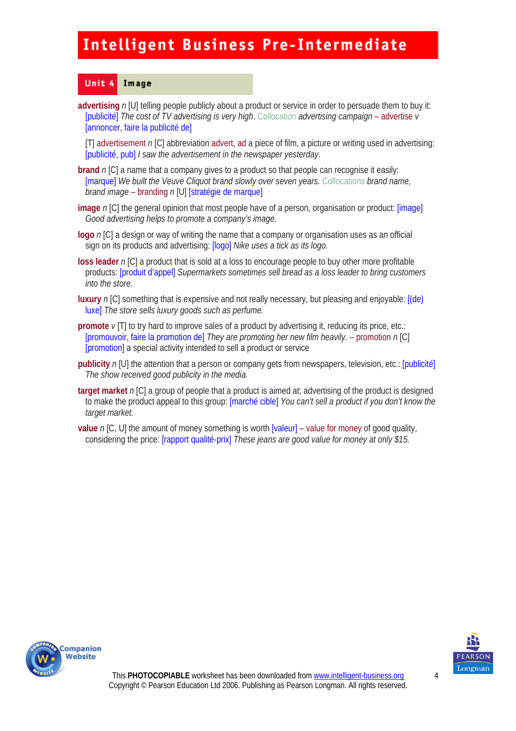#### Unit 4 Image

**advertising** *n* [U] telling people publicly about a product or service in order to persuade them to buy it: [publicité] *The cost of TV advertising is very high*. Collocation *advertising campaign* – advertise *v*  [annoncer, faire la publicité de]

[T] advertisement *n* [C] abbreviation advert, ad a piece of film, a picture or writing used in advertising: [publicité, pub] *I saw the advertisement in the newspaper yesterday.* 

- **brand** *n* [C] a name that a company gives to a product so that people can recognise it easily: [marque] *We built the Veuve Cliquot brand slowly over seven years.* Collocations *brand name, brand image* – branding *n* [U] [stratégie de marque]
- **image** *n* [C] the general opinion that most people have of a person, organisation or product: [image] *Good advertising helps to promote a company's image.*
- **logo** *n* [C] a design or way of writing the name that a company or organisation uses as an official sign on its products and advertising: [logo] *Nike uses a tick as its logo.*
- **loss leader** *n* [C] a product that is sold at a loss to encourage people to buy other more profitable products: [produit d'appel] *Supermarkets sometimes sell bread as a loss leader to bring customers into the store.*
- **luxury** *n* [C] something that is expensive and not really necessary, but pleasing and enjoyable: [(de) luxe] *The store sells luxury goods such as perfume.*
- **promote**  $\nu$  [T] to try hard to improve sales of a product by advertising it, reducing its price, etc.: [promouvoir, faire la promotion de] *They are promoting her new film heavily.* – promotion *n* [C] [promotion] a special activity intended to sell a product or service
- **publicity** *n* [U] the attention that a person or company gets from newspapers, television, etc.: [publicité] *The show received good publicity in the media.*
- **target market** *n* [C] a group of people that a product is aimed at; advertising of the product is designed to make the product appeal to this group: [marché cible] *You can't sell a product if you don't know the target market.*
- **value** *n* [C, U] the amount of money something is worth [valeur] value for money of good quality, considering the price: [rapport qualité-prix] *These jeans are good value for money at only \$15.*



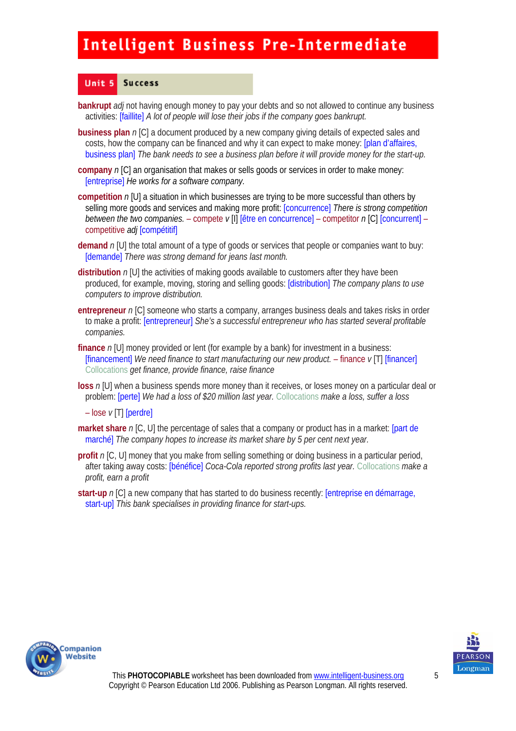#### Unit 5 **Success**

- **bankrupt** *adj* not having enough money to pay your debts and so not allowed to continue any business activities: [faillite] *A lot of people will lose their jobs if the company goes bankrupt.*
- **business plan** *n* [C] a document produced by a new company giving details of expected sales and costs, how the company can be financed and why it can expect to make money: [plan d'affaires, business plan] *The bank needs to see a business plan before it will provide money for the start-up.*
- **company** *n* [C] an organisation that makes or sells goods or services in order to make money: [entreprise] *He works for a software company.*
- **competition** *n* [U] a situation in which businesses are trying to be more successful than others by selling more goods and services and making more profit: [concurrence] *There is strong competition between the two companies.* – compete *v* [I] [être en concurrence] – competitor *n* [C] [concurrent] – competitive *adj* [compétitif]
- **demand** *n* [U] the total amount of a type of goods or services that people or companies want to buy: [demande] *There was strong demand for jeans last month.*
- **distribution** *n* [U] the activities of making goods available to customers after they have been produced, for example, moving, storing and selling goods: [distribution] *The company plans to use computers to improve distribution.*
- **entrepreneur** *n* [C] someone who starts a company, arranges business deals and takes risks in order to make a profit: [entrepreneur] *She's a successful entrepreneur who has started several profitable companies.*
- **finance** *n* [U] money provided or lent (for example by a bank) for investment in a business: [financement] *We need finance to start manufacturing our new product.* – finance *v* [T] [financer] Collocations *get finance, provide finance, raise finance*
- **loss** *n* [U] when a business spends more money than it receives, or loses money on a particular deal or problem: [perte] *We had a loss of \$20 million last year.* Collocations *make a loss, suffer a loss*

– lose *v* [T] [perdre]

- **market share** *n* [C, U] the percentage of sales that a company or product has in a market: [part degree of sales that a company or product has in a market: marché] *The company hopes to increase its market share by 5 per cent next year.*
- **profit** *n* [C, U] money that you make from selling something or doing business in a particular period, after taking away costs: [bénéfice] *Coca-Cola reported strong profits last year.* Collocations *make a profit, earn a profit*
- **start-up** *n* [C] a new company that has started to do business recently: [entreprise en démarrage, start-up] *This bank specialises in providing finance for start-ups.*



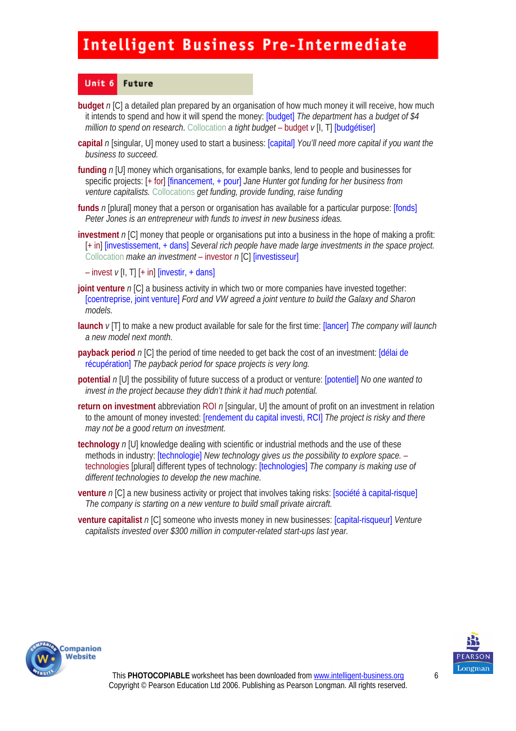#### Unit 6 **Future**

- **budget** *n* [C] a detailed plan prepared by an organisation of how much money it will receive, how much it intends to spend and how it will spend the money: [budget] *The department has a budget of \$4 million to spend on research.* Collocation *a tight budget* – budget *v* [I, T] [budgétiser]
- **capital** *n* [singular, U] money used to start a business: [capital] *You'll need more capital if you want the business to succeed.*
- **funding** *n* [U] money which organisations, for example banks, lend to people and businesses for specific projects: [+ for] [financement, + pour] *Jane Hunter got funding for her business from venture capitalists.* Collocations *get funding, provide funding, raise funding*
- **funds** *n* [plural] money that a person or organisation has available for a particular purpose: [fonds] *Peter Jones is an entrepreneur with funds to invest in new business ideas.*
- **investment** *n* [C] money that people or organisations put into a business in the hope of making a profit: [+ in] [investissement, + dans] *Several rich people have made large investments in the space project.*  Collocation *make an investment* – investor *n* [C] [investisseur]
	- $-$  invest  $v$  [I, T]  $[+$  in]  $\frac{v}{v}$  [investir,  $+$  dans]
- **joint venture** *n* [C] a business activity in which two or more companies have invested together: [coentreprise, joint venture] *Ford and VW agreed a joint venture to build the Galaxy and Sharon models.*
- **launch** *v* [T] to make a new product available for sale for the first time: [lancer] *The company will launch a new model next month.*
- **payback period** n [C] the period of time needed to get back the cost of an investment: [délai de récupération] *The payback period for space projects is very long.*
- **potential** *n* [U] the possibility of future success of a product or venture: [potentiel] *No one wanted to invest in the project because they didn't think it had much potential.*
- **return on investment** abbreviation ROI *n* [singular, U] the amount of profit on an investment in relation to the amount of money invested: [rendement du capital investi, RCI] *The project is risky and there may not be a good return on investment.*
- **technology** *n* [U] knowledge dealing with scientific or industrial methods and the use of these methods in industry: [technologie] *New technology gives us the possibility to explore space.* – technologies [plural] different types of technology: [technologies] *The company is making use of different technologies to develop the new machine.*
- **venture** *n* [C] a new business activity or project that involves taking risks: [société à capital-risque] *The company is starting on a new venture to build small private aircraft.*
- **venture capitalist** *n* [C] someone who invests money in new businesses: [capital-risqueur] *Venture capitalists invested over \$300 million in computer-related start-ups last year.*



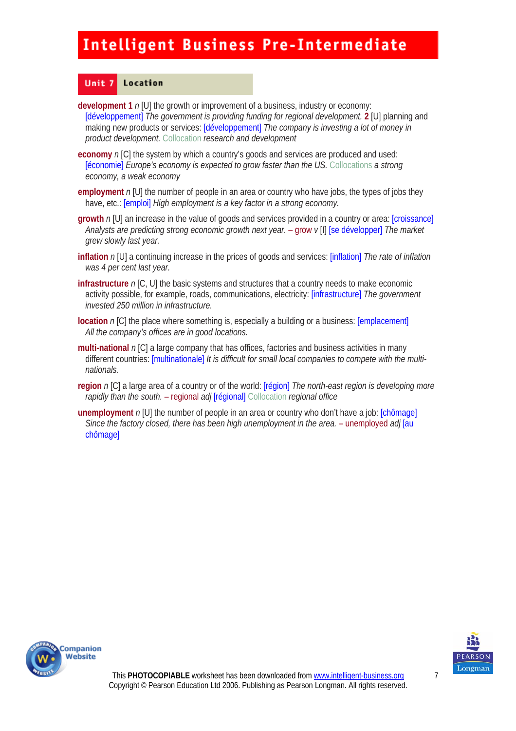#### Unit<sub>7</sub> Location

- **development 1** *n* [U] the growth or improvement of a business, industry or economy: [développement] *The government is providing funding for regional development.* **2** [U] planning and making new products or services: [développement] *The company is investing a lot of money in product development.* Collocation *research and development*
- **economy** *n* [C] the system by which a country's goods and services are produced and used: [économie] *Europe's economy is expected to grow faster than the US.* Collocations *a strong economy, a weak economy*
- **employment** *n* [U] the number of people in an area or country who have jobs, the types of jobs they have, etc.: *[emploi] High employment is a key factor in a strong economy.*
- **growth** *n* [U] an increase in the value of goods and services provided in a country or area: [croissance] *Analysts are predicting strong economic growth next year.* – grow *v* [I] [se développer] *The market grew slowly last year.*
- **inflation** *n* [U] a continuing increase in the prices of goods and services: [inflation] *The rate of inflation was 4 per cent last year.*
- **infrastructure** *n* [C, U] the basic systems and structures that a country needs to make economic activity possible, for example, roads, communications, electricity: [infrastructure] *The government invested 250 million in infrastructure.*
- **location** *n* [C] the place where something is, especially a building or a business: [emplacement] *All the company's offices are in good locations.*
- **multi-national** *n* [C] a large company that has offices, factories and business activities in many different countries: [multinationale] *It is difficult for small local companies to compete with the multinationals.*
- **region** *n* [C] a large area of a country or of the world: [région] *The north-east region is developing more rapidly than the south.* – regional *adj* [régional] Collocation *regional office*
- **unemployment** *n* [U] the number of people in an area or country who don't have a job: [chômage] *Since the factory closed, there has been high unemployment in the area.* – unemployed *adj* [au chômage]



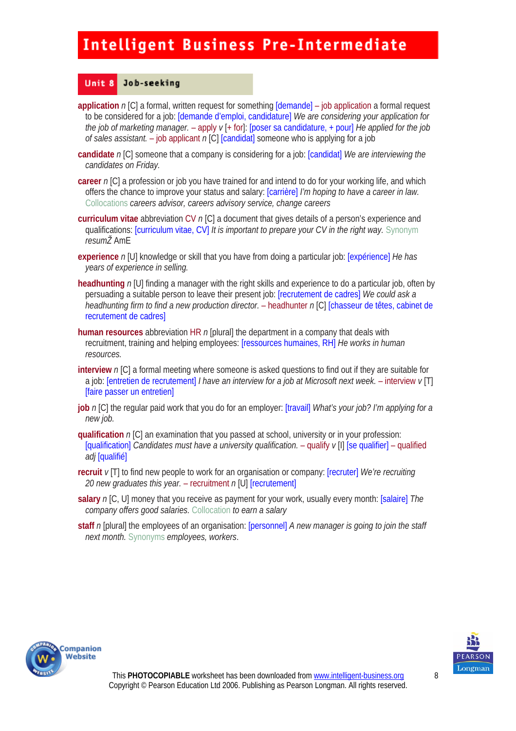#### Unit 8 Job-seeking

- **application** *n* [C] a formal, written request for something [demande] job application a formal request to be considered for a job: [demande d'emploi, candidature] *We are considering your application for the job of marketing manager.* – apply *v* [+ for]: [poser sa candidature, + pour] *He applied for the job of sales assistant.* – job applicant *n* [C] [candidat] someone who is applying for a job
- **candidate** *n* [C] someone that a company is considering for a job: [candidat] *We are interviewing the candidates on Friday.*
- **career** *n* [C] a profession or job you have trained for and intend to do for your working life, and which offers the chance to improve your status and salary: [carrière] *I'm hoping to have a career in law.*  Collocations *careers advisor, careers advisory service, change careers*
- **curriculum vitae** abbreviation CV *n* [C] a document that gives details of a person's experience and qualifications: [curriculum vitae, CV] *It is important to prepare your CV in the right way.* Synonym *resumŽ* AmE
- **experience** *n* [U] knowledge or skill that you have from doing a particular job: [expérience] *He has years of experience in selling.*
- **headhunting** *n* [U] finding a manager with the right skills and experience to do a particular job, often by persuading a suitable person to leave their present job: [recrutement de cadres] *We could ask a headhunting firm to find a new production director.* – headhunter *n* [C] [chasseur de têtes, cabinet de recrutement de cadres]
- **human resources** abbreviation HR *n* [plural] the department in a company that deals with recruitment, training and helping employees: [ressources humaines, RH] *He works in human resources.*
- **interview** *n* [C] a formal meeting where someone is asked questions to find out if they are suitable for a job: [entretien de recrutement] *I have an interview for a job at Microsoft next week.* – interview *v* [T] [faire passer un entretien]
- **job** *n* [C] the regular paid work that you do for an employer: [travail] *What's your job? I'm applying for a new job.*
- **qualification** *n* [C] an examination that you passed at school, university or in your profession: [qualification] *Candidates must have a university qualification.* – qualify  $\nu$  [I] [se qualifier] – qualified *adj* [qualifié]
- **recruit** *v* [T] to find new people to work for an organisation or company: [recruter] *We're recruiting 20 new graduates this year.* – recruitment *n* [U] [recrutement]
- **salary** *n* [C, U] money that you receive as payment for your work, usually every month: [salaire] *The company offers good salaries.* Collocation *to earn a salary*
- **staff** *n* [plural] the employees of an organisation: [personnel] *A new manager is going to join the staff next month.* Synonyms *employees, workers*.



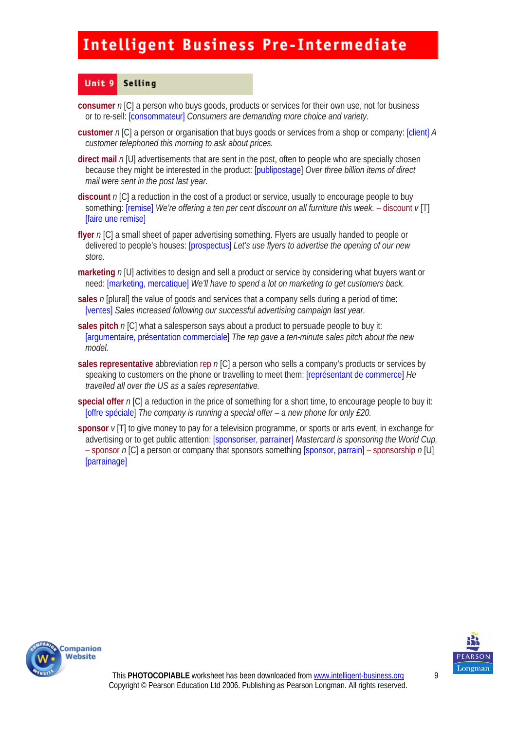#### Unit 9 Selling

- **consumer** *n* [C] a person who buys goods, products or services for their own use, not for business or to re-sell: [consommateur] *Consumers are demanding more choice and variety.*
- **customer** *n* [C] a person or organisation that buys goods or services from a shop or company: [client] *A customer telephoned this morning to ask about prices.*
- **direct mail** *n* [U] advertisements that are sent in the post, often to people who are specially chosen because they might be interested in the product: [publipostage] *Over three billion items of direct mail were sent in the post last year.*
- **discount** *n* [C] a reduction in the cost of a product or service, usually to encourage people to buy something: [remise] *We're offering a ten per cent discount on all furniture this week.* – discount  $v$ [T] [faire une remise]
- **flyer** *n* [C] a small sheet of paper advertising something. Flyers are usually handed to people or delivered to people's houses: [prospectus] *Let's use flyers to advertise the opening of our new store.*
- **marketing** *n* [U] activities to design and sell a product or service by considering what buyers want or need: [marketing, mercatique] *We'll have to spend a lot on marketing to get customers back.*
- **sales** *n* [plural] the value of goods and services that a company sells during a period of time: [ventes] *Sales increased following our successful advertising campaign last year.*
- **sales pitch** *n* [C] what a salesperson says about a product to persuade people to buy it: [argumentaire, présentation commerciale] *The rep gave a ten-minute sales pitch about the new model.*
- **sales representative** abbreviation rep *n* [C] a person who sells a company's products or services by speaking to customers on the phone or travelling to meet them: [représentant de commerce] *He travelled all over the US as a sales representative.*
- **special offer** *n* [C] a reduction in the price of something for a short time, to encourage people to buy it: [offre spéciale] *The company is running a special offer – a new phone for only £20.*
- **sponsor**  $\nu$  [T] to give money to pay for a television programme, or sports or arts event, in exchange for advertising or to get public attention: [sponsoriser, parrainer] *Mastercard is sponsoring the World Cup.*  – sponsor *n* [C] a person or company that sponsors something [sponsor, parrain] – sponsorship *n* [U] [parrainage]



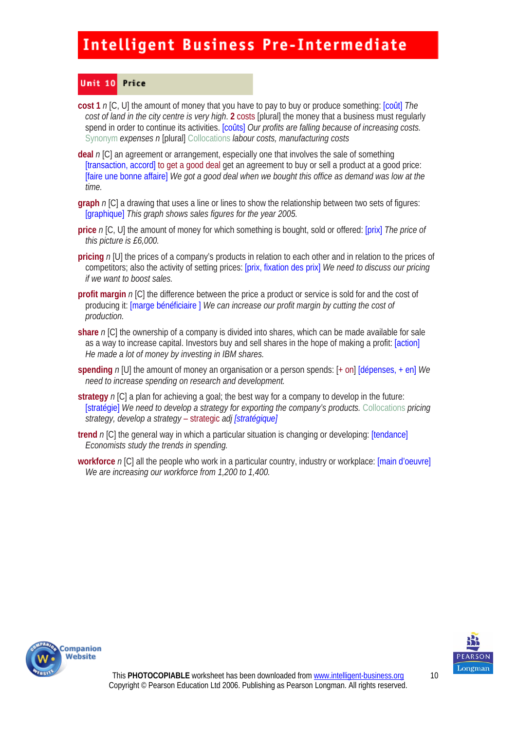#### Unit 10 Price

- **cost 1** *n* [C, U] the amount of money that you have to pay to buy or produce something: [coût] *The cost of land in the city centre is very high*. **2** costs [plural] the money that a business must regularly spend in order to continue its activities. **[coûts]** Our profits are falling because of increasing costs. Synonym *expenses n* [plural] Collocations *labour costs, manufacturing costs*
- **deal** *n* [C] an agreement or arrangement, especially one that involves the sale of something [transaction, accord] to get a good deal get an agreement to buy or sell a product at a good price: [faire une bonne affaire] *We got a good deal when we bought this office as demand was low at the time.*
- **graph** *n* [C] a drawing that uses a line or lines to show the relationship between two sets of figures: [graphique] *This graph shows sales figures for the year 2005.*
- **price** *n* [C, U] the amount of money for which something is bought, sold or offered: [prix] *The price of this picture is £6,000.*
- **pricing** *n* [U] the prices of a company's products in relation to each other and in relation to the prices of competitors; also the activity of setting prices: [prix, fixation des prix] *We need to discuss our pricing if we want to boost sales.*
- **profit margin** *n* [C] the difference between the price a product or service is sold for and the cost of producing it: [marge bénéficiaire ] *We can increase our profit margin by cutting the cost of production.*
- **share** *n* [C] the ownership of a company is divided into shares, which can be made available for sale as a way to increase capital. Investors buy and sell shares in the hope of making a profit: [action] *He made a lot of money by investing in IBM shares.*
- **spending** *n* [U] the amount of money an organisation or a person spends: [+ on] [dépenses, + en] *We need to increase spending on research and development.*
- **strategy** *n* [C] a plan for achieving a goal; the best way for a company to develop in the future: [stratégie] *We need to develop a strategy for exporting the company's products.* Collocations *pricing strategy, develop a strategy* – strategic *adj [stratégique]*
- **trend** *n* [C] the general way in which a particular situation is changing or developing: [tendance] *Economists study the trends in spending.*
- **workforce** *n* [C] all the people who work in a particular country, industry or workplace: [main d'oeuvre] *We are increasing our workforce from 1,200 to 1,400.*



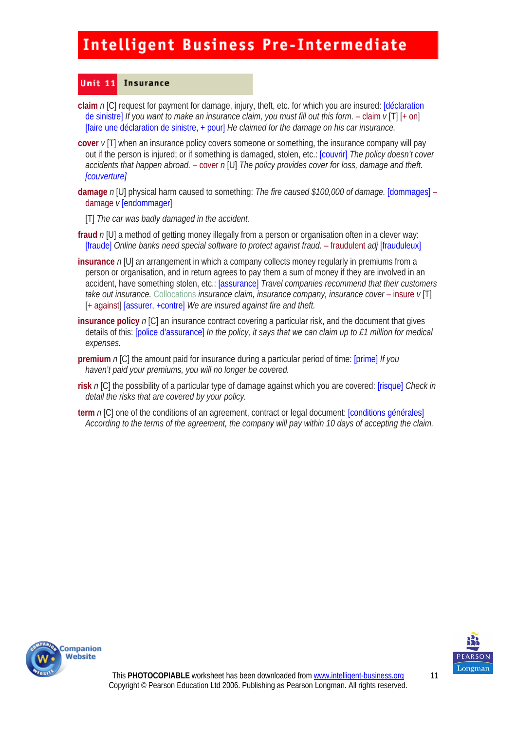#### Unit  $11$ **Insurance**

- **claim** *n* [C] request for payment for damage, injury, theft, etc. for which you are insured: [déclaration de sinistre] *If you want to make an insurance claim, you must fill out this form.* – claim *v* [T] [+ on] [faire une déclaration de sinistre, + pour] *He claimed for the damage on his car insurance.*
- **cover** *v* [T] when an insurance policy covers someone or something, the insurance company will pay out if the person is injured; or if something is damaged, stolen, etc.: [couvrir] *The policy doesn't cover accidents that happen abroad.* – cover *n* [U] *The policy provides cover for loss, damage and theft. [couverture]*
- **damage** *n* [U] physical harm caused to something: *The fire caused \$100,000 of damage.* [dommages] damage *v* [endommager]
	- [T] *The car was badly damaged in the accident.*
- **fraud**  $n$  [U] a method of getting money illegally from a person or organisation often in a clever way: [fraude] *Online banks need special software to protect against fraud.* – fraudulent *adj* [frauduleux]
- **insurance** *n* [U] an arrangement in which a company collects money regularly in premiums from a person or organisation, and in return agrees to pay them a sum of money if they are involved in an accident, have something stolen, etc.: [assurance] *Travel companies recommend that their customers take out insurance.* Collocations *insurance claim, insurance company, insurance cover* – insure  $v[T]$ [+ against] [assurer, +contre] *We are insured against fire and theft.*
- **insurance policy** *n* [C] an insurance contract covering a particular risk, and the document that gives details of this: [police d'assurance] *In the policy, it says that we can claim up to £1 million for medical expenses.*
- **premium** *n* [C] the amount paid for insurance during a particular period of time: [prime] *If you haven't paid your premiums, you will no longer be covered.*
- **risk** *n* [C] the possibility of a particular type of damage against which you are covered: [risque] *Check in detail the risks that are covered by your policy.*
- **term** *n* [C] one of the conditions of an agreement, contract or legal document: [conditions générales] *According to the terms of the agreement, the company will pay within 10 days of accepting the claim.*



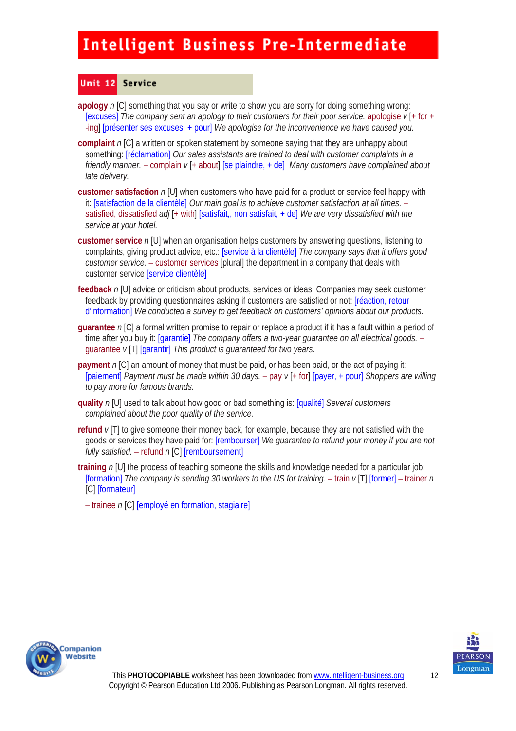#### Unit 12 Service

**apology** *n* [C] something that you say or write to show you are sorry for doing something wrong: [excuses] *The company sent an apology to their customers for their poor service.* apologise *v* [+ for + -ing] [présenter ses excuses, + pour] *We apologise for the inconvenience we have caused you.* 

- **complaint** *n* [C] a written or spoken statement by someone saying that they are unhappy about something: [réclamation] *Our sales assistants are trained to deal with customer complaints in a friendly manner.* – complain *v* [+ about] [se plaindre, + de] *Many customers have complained about late delivery.*
- **customer satisfaction** *n* [U] when customers who have paid for a product or service feel happy with it: [satisfaction de la clientèle] *Our main goal is to achieve customer satisfaction at all times.* – satisfied, dissatisfied *adj* [+ with] [satisfait,, non satisfait, + de] *We are very dissatisfied with the service at your hotel.*
- **customer service** *n* [U] when an organisation helps customers by answering questions, listening to complaints, giving product advice, etc.: [service à la clientèle] *The company says that it offers good customer service.* – customer services [plural] the department in a company that deals with customer service [service clientèle]
- **feedback** *n* [U] advice or criticism about products, services or ideas. Companies may seek customer feedback by providing questionnaires asking if customers are satisfied or not: [réaction, retour d'information] *We conducted a survey to get feedback on customers' opinions about our products.*
- **guarantee** *n* [C] a formal written promise to repair or replace a product if it has a fault within a period of time after you buy it: [garantie] *The company offers a two-year guarantee on all electrical goods.* – guarantee *v* [T] [garantir] *This product is guaranteed for two years.*
- **payment** *n* [C] an amount of money that must be paid, or has been paid, or the act of paying it: [paiement] *Payment must be made within 30 days.* – pay *v* [+ for] [payer, + pour] *Shoppers are willing to pay more for famous brands.*
- **quality** *n* [U] used to talk about how good or bad something is: [qualité] *Several customers complained about the poor quality of the service.*
- **refund** *v* [T] to give someone their money back, for example, because they are not satisfied with the goods or services they have paid for: [rembourser] *We guarantee to refund your money if you are not fully satisfied.* – refund *n* [C] [remboursement]
- **training** *n* [U] the process of teaching someone the skills and knowledge needed for a particular job: [formation] *The company is sending 30 workers to the US for training.* – train *v* [T] [former] – trainer *n*  [C] [formateur]
	- trainee *n* [C] [employé en formation, stagiaire]



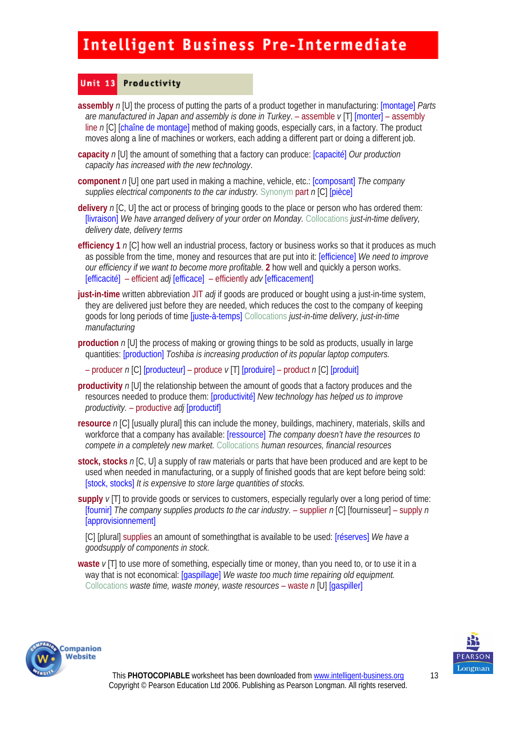#### Unit 13 Productivity

- **assembly** *n* [U] the process of putting the parts of a product together in manufacturing: [montage] *Parts are manufactured in Japan and assembly is done in Turkey*. – assemble *v* [T] [monter] – assembly line *n* [C] [chaîne de montage] method of making goods, especially cars, in a factory. The product moves along a line of machines or workers, each adding a different part or doing a different job.
- **capacity** *n* [U] the amount of something that a factory can produce: [capacité] *Our production capacity has increased with the new technology*.
- **component** *n* [U] one part used in making a machine, vehicle, etc.: [composant] *The company supplies electrical components to the car industry.* Synonym part *n* [C] [pièce]
- **delivery** *n* [C, U] the act or process of bringing goods to the place or person who has ordered them: [livraison] *We have arranged delivery of your order on Monday.* Collocations *just-in-time delivery, delivery date, delivery terms*
- **efficiency 1** *n* [C] how well an industrial process, factory or business works so that it produces as much as possible from the time, money and resources that are put into it: [efficience] *We need to improve our efficiency if we want to become more profitable.* **2** how well and quickly a person works. [efficacité] – efficient *adj* [efficace]– efficiently *adv* [efficacement]
- **just-in-time** written abbreviation JIT *adi* if goods are produced or bought using a just-in-time system, they are delivered just before they are needed, which reduces the cost to the company of keeping goods for long periods of time [juste-à-temps] Collocations *just-in-time delivery, just-in-time manufacturing*
- **production** *n* [U] the process of making or growing things to be sold as products, usually in large quantities: [production] *Toshiba is increasing production of its popular laptop computers.* 
	- producer *n* [C] [producteur] produce *v* [T] [produire] product *n* [C] [produit]
- **productivity** *n* [U] the relationship between the amount of goods that a factory produces and the resources needed to produce them: [productivité] *New technology has helped us to improve productivity.* – productive *adj* [productif]
- **resource** *n* [C] [usually plural] this can include the money, buildings, machinery, materials, skills and workforce that a company has available: [ressource] *The company doesn't have the resources to compete in a completely new market.* Collocations *human resources, financial resources*
- **stock, stocks** *n* [C, U] a supply of raw materials or parts that have been produced and are kept to be used when needed in manufacturing, or a supply of finished goods that are kept before being sold: [stock, stocks] *It is expensive to store large quantities of stocks.*
- **supply** *v* [T] to provide goods or services to customers, especially regularly over a long period of time: [fournir] *The company supplies products to the car industry.* – supplier *n* [C] [fournisseur] – supply *n*  [approvisionnement]

[C] [plural] supplies an amount of somethingthat is available to be used: [réserves] *We have a goodsupply of components in stock.*

**waste**  $\nu$ [T] to use more of something, especially time or money, than you need to, or to use it in a way that is not economical: [gaspillage] *We waste too much time repairing old equipment.*  Collocations *waste time, waste money, waste resources* – waste *n* [U] [gaspiller]



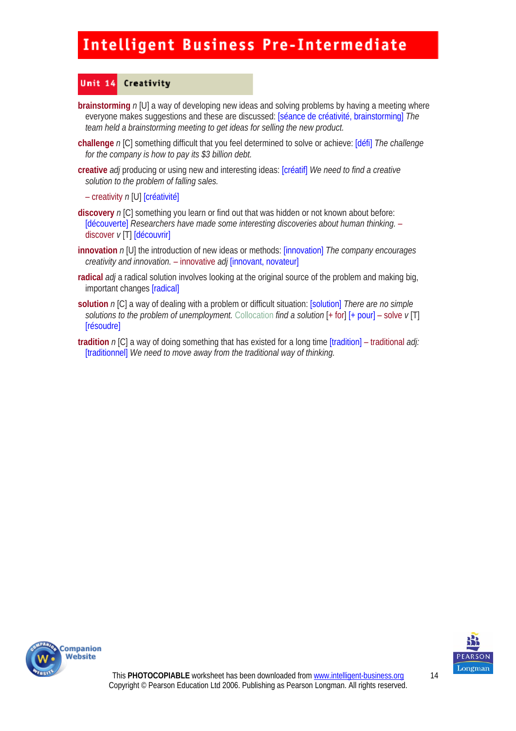#### Unit 14 Creativity

- **brainstorming**  $n[U]$  a way of developing new ideas and solving problems by having a meeting where everyone makes suggestions and these are discussed: [séance de créativité, brainstorming] *The team held a brainstorming meeting to get ideas for selling the new product.*
- **challenge** *n* [C] something difficult that you feel determined to solve or achieve: [défi] *The challenge for the company is how to pay its \$3 billion debt.*
- **creative** *adj* producing or using new and interesting ideas: [créatif] *We need to find a creative solution to the problem of falling sales.* 
	- creativity *n* [U] [créativité]
- **discovery** *n* [C] something you learn or find out that was hidden or not known about before: [découverte] *Researchers have made some interesting discoveries about human thinking.* – discover *v* [T] [découvrir]
- **innovation** *n* [U] the introduction of new ideas or methods: [innovation] *The company encourages creativity and innovation.* – innovative *adj* [innovant, novateur]
- **radical** *adj* a radical solution involves looking at the original source of the problem and making big, important changes [radical]
- **solution** *n* [C] a way of dealing with a problem or difficult situation: [solution] *There are no simple solutions to the problem of unemployment.* Collocation *find a solution* [+ for] [+ pour] – solve *v* [T] **[résoudre]**
- **tradition** *n* [C] a way of doing something that has existed for a long time [tradition] traditional *adj:*  [traditionnel] *We need to move away from the traditional way of thinking.*